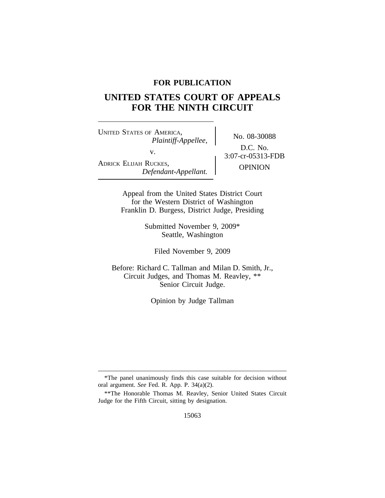### **FOR PUBLICATION**

# **UNITED STATES COURT OF APPEALS FOR THE NINTH CIRCUIT**

<sup>U</sup>NITED STATES OF AMERICA, No. 08-30088 *Plaintiff-Appellee,* v.  $2:07-cr-05313-FDB$ ADRICK ELIJAH RUCKES, OPINION *Defendant-Appellant.*

D.C. No.

Appeal from the United States District Court for the Western District of Washington Franklin D. Burgess, District Judge, Presiding

> Submitted November 9, 2009\* Seattle, Washington

Filed November 9, 2009

Before: Richard C. Tallman and Milan D. Smith, Jr., Circuit Judges, and Thomas M. Reavley, \*\* Senior Circuit Judge.

Opinion by Judge Tallman

<sup>\*</sup>The panel unanimously finds this case suitable for decision without oral argument. *See* Fed. R. App. P. 34(a)(2).

<sup>\*\*</sup>The Honorable Thomas M. Reavley, Senior United States Circuit Judge for the Fifth Circuit, sitting by designation.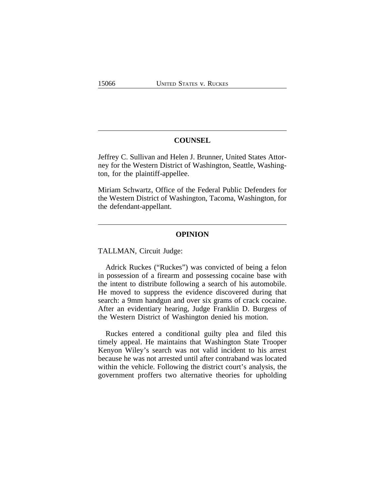#### **COUNSEL**

Jeffrey C. Sullivan and Helen J. Brunner, United States Attorney for the Western District of Washington, Seattle, Washington, for the plaintiff-appellee.

Miriam Schwartz, Office of the Federal Public Defenders for the Western District of Washington, Tacoma, Washington, for the defendant-appellant.

#### **OPINION**

TALLMAN, Circuit Judge:

Adrick Ruckes ("Ruckes") was convicted of being a felon in possession of a firearm and possessing cocaine base with the intent to distribute following a search of his automobile. He moved to suppress the evidence discovered during that search: a 9mm handgun and over six grams of crack cocaine. After an evidentiary hearing, Judge Franklin D. Burgess of the Western District of Washington denied his motion.

Ruckes entered a conditional guilty plea and filed this timely appeal. He maintains that Washington State Trooper Kenyon Wiley's search was not valid incident to his arrest because he was not arrested until after contraband was located within the vehicle. Following the district court's analysis, the government proffers two alternative theories for upholding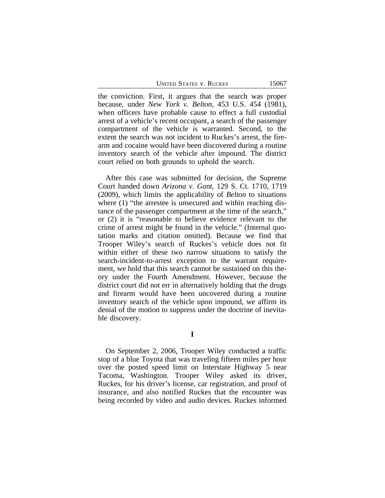UNITED STATES V. RUCKES 15067

the conviction. First, it argues that the search was proper because, under *New York v. Belton*, 453 U.S. 454 (1981), when officers have probable cause to effect a full custodial arrest of a vehicle's recent occupant, a search of the passenger compartment of the vehicle is warranted. Second, to the extent the search was not incident to Ruckes's arrest, the firearm and cocaine would have been discovered during a routine inventory search of the vehicle after impound. The district court relied on both grounds to uphold the search.

After this case was submitted for decision, the Supreme Court handed down *Arizona v. Gant*, 129 S. Ct. 1710, 1719 (2009), which limits the applicability of *Belton* to situations where (1) "the arrestee is unsecured and within reaching distance of the passenger compartment at the time of the search," or (2) it is "reasonable to believe evidence relevant to the crime of arrest might be found in the vehicle." (Internal quotation marks and citation omitted). Because we find that Trooper Wiley's search of Ruckes's vehicle does not fit within either of these two narrow situations to satisfy the search-incident-to-arrest exception to the warrant requirement, we hold that this search cannot be sustained on this theory under the Fourth Amendment. However, because the district court did not err in alternatively holding that the drugs and firearm would have been uncovered during a routine inventory search of the vehicle upon impound, we affirm its denial of the motion to suppress under the doctrine of inevitable discovery.

**I**

On September 2, 2006, Trooper Wiley conducted a traffic stop of a blue Toyota that was traveling fifteen miles per hour over the posted speed limit on Interstate Highway 5 near Tacoma, Washington. Trooper Wiley asked its driver, Ruckes, for his driver's license, car registration, and proof of insurance, and also notified Ruckes that the encounter was being recorded by video and audio devices. Ruckes informed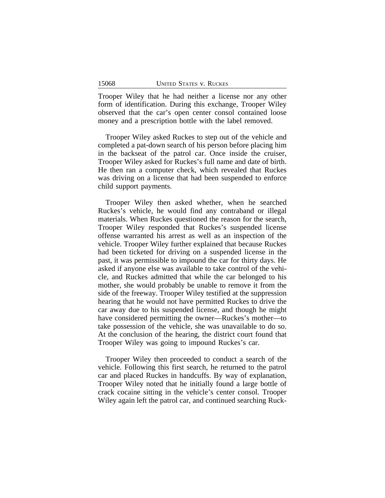Trooper Wiley that he had neither a license nor any other form of identification. During this exchange, Trooper Wiley observed that the car's open center consol contained loose money and a prescription bottle with the label removed.

Trooper Wiley asked Ruckes to step out of the vehicle and completed a pat-down search of his person before placing him in the backseat of the patrol car. Once inside the cruiser, Trooper Wiley asked for Ruckes's full name and date of birth. He then ran a computer check, which revealed that Ruckes was driving on a license that had been suspended to enforce child support payments.

Trooper Wiley then asked whether, when he searched Ruckes's vehicle, he would find any contraband or illegal materials. When Ruckes questioned the reason for the search, Trooper Wiley responded that Ruckes's suspended license offense warranted his arrest as well as an inspection of the vehicle. Trooper Wiley further explained that because Ruckes had been ticketed for driving on a suspended license in the past, it was permissible to impound the car for thirty days. He asked if anyone else was available to take control of the vehicle, and Ruckes admitted that while the car belonged to his mother, she would probably be unable to remove it from the side of the freeway. Trooper Wiley testified at the suppression hearing that he would not have permitted Ruckes to drive the car away due to his suspended license, and though he might have considered permitting the owner—Ruckes's mother—to take possession of the vehicle, she was unavailable to do so. At the conclusion of the hearing, the district court found that Trooper Wiley was going to impound Ruckes's car.

Trooper Wiley then proceeded to conduct a search of the vehicle. Following this first search, he returned to the patrol car and placed Ruckes in handcuffs. By way of explanation, Trooper Wiley noted that he initially found a large bottle of crack cocaine sitting in the vehicle's center consol. Trooper Wiley again left the patrol car, and continued searching Ruck-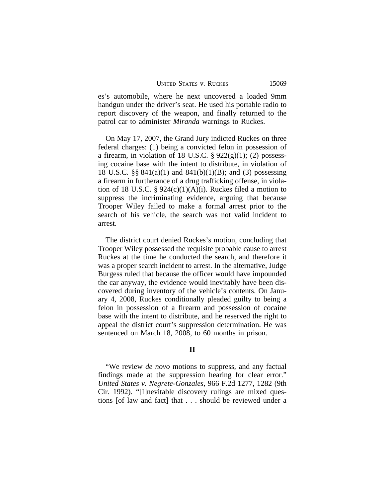es's automobile, where he next uncovered a loaded 9mm handgun under the driver's seat. He used his portable radio to report discovery of the weapon, and finally returned to the patrol car to administer *Miranda* warnings to Ruckes.

On May 17, 2007, the Grand Jury indicted Ruckes on three federal charges: (1) being a convicted felon in possession of a firearm, in violation of 18 U.S.C.  $\S 922(g)(1)$ ; (2) possessing cocaine base with the intent to distribute, in violation of 18 U.S.C. §§ 841(a)(1) and 841(b)(1)(B); and (3) possessing a firearm in furtherance of a drug trafficking offense, in violation of 18 U.S.C. §  $924(c)(1)(A)(i)$ . Ruckes filed a motion to suppress the incriminating evidence, arguing that because Trooper Wiley failed to make a formal arrest prior to the search of his vehicle, the search was not valid incident to arrest.

The district court denied Ruckes's motion, concluding that Trooper Wiley possessed the requisite probable cause to arrest Ruckes at the time he conducted the search, and therefore it was a proper search incident to arrest. In the alternative, Judge Burgess ruled that because the officer would have impounded the car anyway, the evidence would inevitably have been discovered during inventory of the vehicle's contents. On January 4, 2008, Ruckes conditionally pleaded guilty to being a felon in possession of a firearm and possession of cocaine base with the intent to distribute, and he reserved the right to appeal the district court's suppression determination. He was sentenced on March 18, 2008, to 60 months in prison.

#### **II**

"We review *de novo* motions to suppress, and any factual findings made at the suppression hearing for clear error." *United States v. Negrete-Gonzales*, 966 F.2d 1277, 1282 (9th Cir. 1992). "[I]nevitable discovery rulings are mixed questions [of law and fact] that . . . should be reviewed under a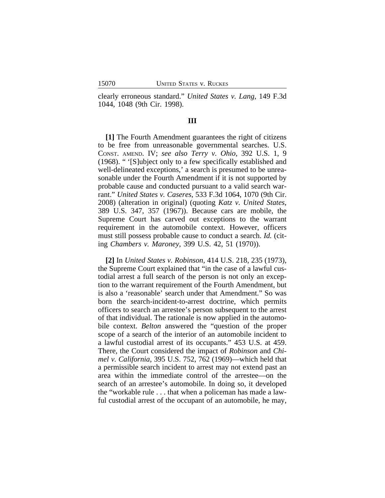clearly erroneous standard." *United States v. Lang*, 149 F.3d 1044, 1048 (9th Cir. 1998).

#### **III**

**[1]** The Fourth Amendment guarantees the right of citizens to be free from unreasonable governmental searches. U.S. CONST. AMEND. IV; *see also Terry v. Ohio*, 392 U.S. 1, 9 (1968). " '[S]ubject only to a few specifically established and well-delineated exceptions,' a search is presumed to be unreasonable under the Fourth Amendment if it is not supported by probable cause and conducted pursuant to a valid search warrant." *United States v. Caseres*, 533 F.3d 1064, 1070 (9th Cir. 2008) (alteration in original) (quoting *Katz v. United States*, 389 U.S. 347, 357 (1967)). Because cars are mobile, the Supreme Court has carved out exceptions to the warrant requirement in the automobile context. However, officers must still possess probable cause to conduct a search. *Id.* (citing *Chambers v. Maroney*, 399 U.S. 42, 51 (1970)).

**[2]** In *United States v. Robinson*, 414 U.S. 218, 235 (1973), the Supreme Court explained that "in the case of a lawful custodial arrest a full search of the person is not only an exception to the warrant requirement of the Fourth Amendment, but is also a 'reasonable' search under that Amendment." So was born the search-incident-to-arrest doctrine, which permits officers to search an arrestee's person subsequent to the arrest of that individual. The rationale is now applied in the automobile context. *Belton* answered the "question of the proper scope of a search of the interior of an automobile incident to a lawful custodial arrest of its occupants." 453 U.S. at 459. There, the Court considered the impact of *Robinson* and *Chimel v. California*, 395 U.S. 752, 762 (1969)—which held that a permissible search incident to arrest may not extend past an area within the immediate control of the arrestee—on the search of an arrestee's automobile. In doing so, it developed the "workable rule . . . that when a policeman has made a lawful custodial arrest of the occupant of an automobile, he may,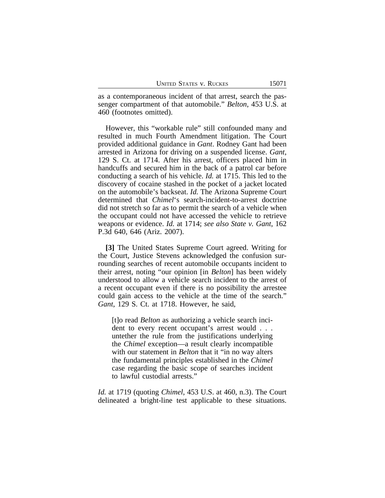as a contemporaneous incident of that arrest, search the passenger compartment of that automobile." *Belton*, 453 U.S. at 460 (footnotes omitted).

However, this "workable rule" still confounded many and resulted in much Fourth Amendment litigation. The Court provided additional guidance in *Gant*. Rodney Gant had been arrested in Arizona for driving on a suspended license. *Gant*, 129 S. Ct. at 1714. After his arrest, officers placed him in handcuffs and secured him in the back of a patrol car before conducting a search of his vehicle. *Id.* at 1715. This led to the discovery of cocaine stashed in the pocket of a jacket located on the automobile's backseat. *Id.* The Arizona Supreme Court determined that *Chimel*'s search-incident-to-arrest doctrine did not stretch so far as to permit the search of a vehicle when the occupant could not have accessed the vehicle to retrieve weapons or evidence. *Id.* at 1714; *see also State v. Gant*, 162 P.3d 640, 646 (Ariz. 2007).

**[3]** The United States Supreme Court agreed. Writing for the Court, Justice Stevens acknowledged the confusion surrounding searches of recent automobile occupants incident to their arrest, noting "our opinion [in *Belton*] has been widely understood to allow a vehicle search incident to the arrest of a recent occupant even if there is no possibility the arrestee could gain access to the vehicle at the time of the search." *Gant*, 129 S. Ct. at 1718. However, he said,

[t]o read *Belton* as authorizing a vehicle search incident to every recent occupant's arrest would . . . untether the rule from the justifications underlying the *Chimel* exception—a result clearly incompatible with our statement in *Belton* that it "in no way alters the fundamental principles established in the *Chimel* case regarding the basic scope of searches incident to lawful custodial arrests."

*Id.* at 1719 (quoting *Chimel*, 453 U.S. at 460, n.3). The Court delineated a bright-line test applicable to these situations.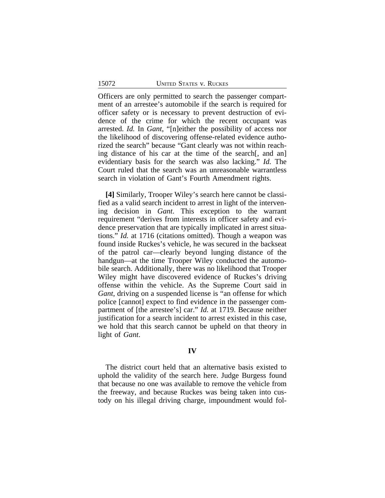Officers are only permitted to search the passenger compartment of an arrestee's automobile if the search is required for officer safety or is necessary to prevent destruction of evidence of the crime for which the recent occupant was arrested. *Id.* In *Gant*, "[n]either the possibility of access nor the likelihood of discovering offense-related evidence authorized the search" because "Gant clearly was not within reaching distance of his car at the time of the search[, and an] evidentiary basis for the search was also lacking." *Id.* The Court ruled that the search was an unreasonable warrantless search in violation of Gant's Fourth Amendment rights.

**[4]** Similarly, Trooper Wiley's search here cannot be classified as a valid search incident to arrest in light of the intervening decision in *Gant*. This exception to the warrant requirement "derives from interests in officer safety and evidence preservation that are typically implicated in arrest situations." *Id.* at 1716 (citations omitted). Though a weapon was found inside Ruckes's vehicle, he was secured in the backseat of the patrol car—clearly beyond lunging distance of the handgun—at the time Trooper Wiley conducted the automobile search. Additionally, there was no likelihood that Trooper Wiley might have discovered evidence of Ruckes's driving offense within the vehicle. As the Supreme Court said in *Gant*, driving on a suspended license is "an offense for which police [cannot] expect to find evidence in the passenger compartment of [the arrestee's] car." *Id.* at 1719. Because neither justification for a search incident to arrest existed in this case, we hold that this search cannot be upheld on that theory in light of *Gant*.

#### **IV**

The district court held that an alternative basis existed to uphold the validity of the search here. Judge Burgess found that because no one was available to remove the vehicle from the freeway, and because Ruckes was being taken into custody on his illegal driving charge, impoundment would fol-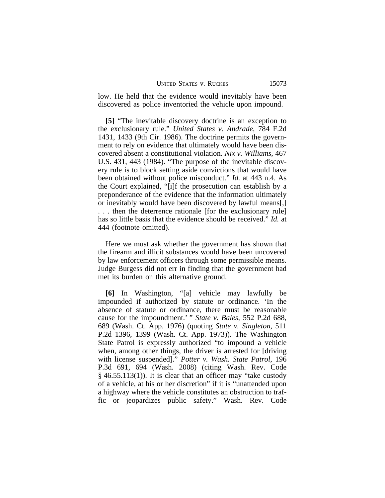| <b>UNITED STATES V. RUCKES</b> |  |  |
|--------------------------------|--|--|
|--------------------------------|--|--|

low. He held that the evidence would inevitably have been discovered as police inventoried the vehicle upon impound.

**[5]** "The inevitable discovery doctrine is an exception to the exclusionary rule." *United States v. Andrade*, 784 F.2d 1431, 1433 (9th Cir. 1986). The doctrine permits the government to rely on evidence that ultimately would have been discovered absent a constitutional violation. *Nix v. Williams*, 467 U.S. 431, 443 (1984). "The purpose of the inevitable discovery rule is to block setting aside convictions that would have been obtained without police misconduct." *Id.* at 443 n.4. As the Court explained, "[i]f the prosecution can establish by a preponderance of the evidence that the information ultimately or inevitably would have been discovered by lawful means[,] . . . then the deterrence rationale [for the exclusionary rule] has so little basis that the evidence should be received." *Id.* at 444 (footnote omitted).

Here we must ask whether the government has shown that the firearm and illicit substances would have been uncovered by law enforcement officers through some permissible means. Judge Burgess did not err in finding that the government had met its burden on this alternative ground.

**[6]** In Washington, "[a] vehicle may lawfully be impounded if authorized by statute or ordinance. 'In the absence of statute or ordinance, there must be reasonable cause for the impoundment.' " *State v. Bales*, 552 P.2d 688, 689 (Wash. Ct. App. 1976) (quoting *State v. Singleton*, 511 P.2d 1396, 1399 (Wash. Ct. App. 1973)). The Washington State Patrol is expressly authorized "to impound a vehicle when, among other things, the driver is arrested for [driving with license suspended]." *Potter v. Wash. State Patrol*, 196 P.3d 691, 694 (Wash. 2008) (citing Wash. Rev. Code  $§$  46.55.113(1)). It is clear that an officer may "take custody of a vehicle, at his or her discretion" if it is "unattended upon a highway where the vehicle constitutes an obstruction to traffic or jeopardizes public safety." Wash. Rev. Code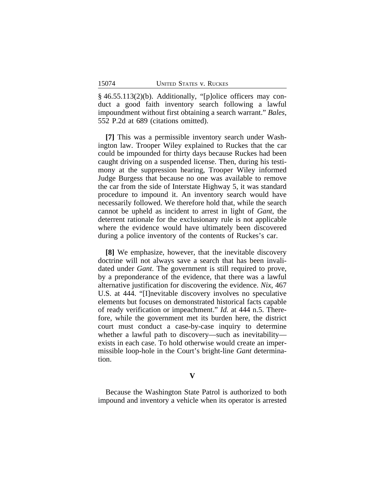§ 46.55.113(2)(b). Additionally, "[p]olice officers may conduct a good faith inventory search following a lawful impoundment without first obtaining a search warrant." *Bales*, 552 P.2d at 689 (citations omitted).

**[7]** This was a permissible inventory search under Washington law. Trooper Wiley explained to Ruckes that the car could be impounded for thirty days because Ruckes had been caught driving on a suspended license. Then, during his testimony at the suppression hearing, Trooper Wiley informed Judge Burgess that because no one was available to remove the car from the side of Interstate Highway 5, it was standard procedure to impound it. An inventory search would have necessarily followed. We therefore hold that, while the search cannot be upheld as incident to arrest in light of *Gant*, the deterrent rationale for the exclusionary rule is not applicable where the evidence would have ultimately been discovered during a police inventory of the contents of Ruckes's car.

**[8]** We emphasize, however, that the inevitable discovery doctrine will not always save a search that has been invalidated under *Gant*. The government is still required to prove, by a preponderance of the evidence, that there was a lawful alternative justification for discovering the evidence. *Nix*, 467 U.S. at 444. "[I]nevitable discovery involves no speculative elements but focuses on demonstrated historical facts capable of ready verification or impeachment." *Id.* at 444 n.5. Therefore, while the government met its burden here, the district court must conduct a case-by-case inquiry to determine whether a lawful path to discovery—such as inevitability exists in each case. To hold otherwise would create an impermissible loop-hole in the Court's bright-line *Gant* determination.

**V**

Because the Washington State Patrol is authorized to both impound and inventory a vehicle when its operator is arrested